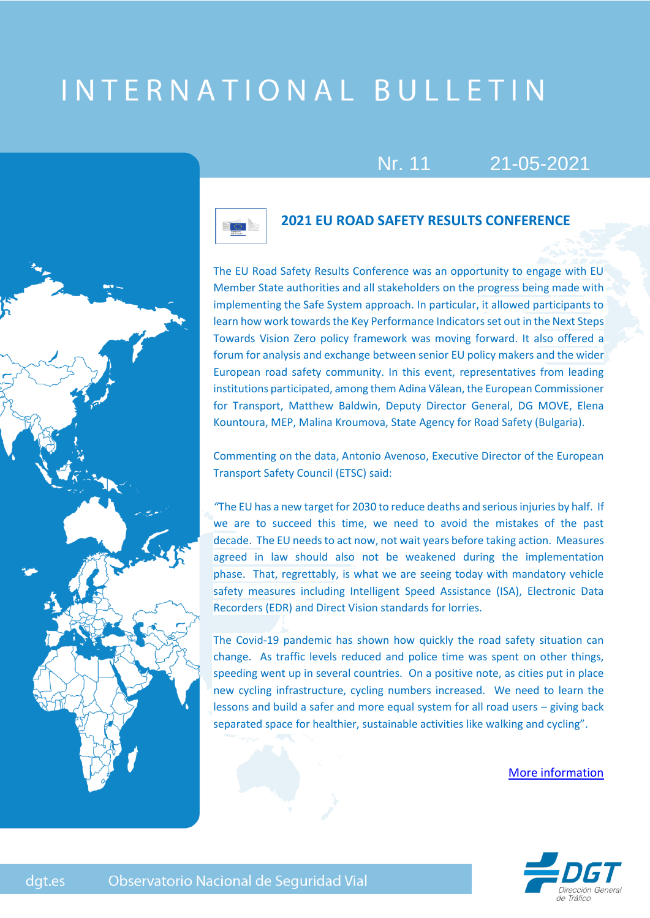# INTERNATIONAL BULLETIN





# **2021 EU ROAD SAFETY RESULTS CONFERENCE**

Nr. 11 21-05-2021

The EU Road Safety Results Conference was an opportunity to engage with EU Member State authorities and all stakeholders on the progress being made with implementing the Safe System approach. In particular, it allowed participants to learn how work towards the Key Performance Indicators set out in the Next Steps Towards Vision Zero policy framework was moving forward. It also offered a forum for analysis and exchange between senior EU policy makers and the wider European road safety community. In this event, representatives from leading institutions participated, among them Adina Vălean, the European Commissioner for Transport, Matthew Baldwin, Deputy Director General, DG MOVE, Elena Kountoura, MEP, Malina Kroumova, State Agency for Road Safety (Bulgaria).

Commenting on the data, Antonio Avenoso, Executive Director of the European Transport Safety Council (ETSC) said:

*"*The EU has a new target for 2030 to reduce deaths and serious injuries by half. If we are to succeed this time, we need to avoid the mistakes of the past decade. The EU needs to act now, not wait years before taking action. Measures agreed in law should also not be weakened during the implementation phase. That, regrettably, is what we are seeing today with mandatory vehicle safety measures including Intelligent Speed Assistance (ISA), Electronic Data Recorders (EDR) and Direct Vision standards for lorries.

The Covid-19 pandemic has shown how quickly the road safety situation can change. As traffic levels reduced and police time was spent on other things, speeding went up in several countries. On a positive note, as cities put in place new cycling infrastructure, cycling numbers increased. We need to learn the lessons and build a safer and more equal system for all road users – giving back separated space for healthier, sustainable activities like walking and cycling".

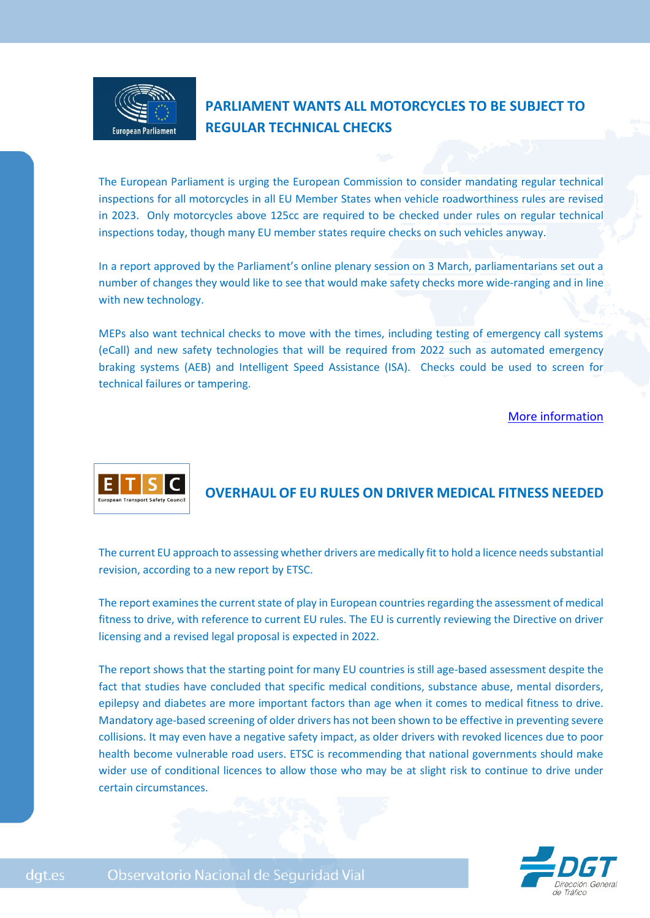

# **PARLIAMENT WANTS ALL MOTORCYCLES TO BE SUBJECT TO REGULAR TECHNICAL CHECKS**

The European Parliament is urging the European Commission to consider mandating regular technical inspections for all motorcycles in all EU Member States when vehicle roadworthiness rules are revised in 2023. Only motorcycles above 125cc are required to be checked under rules on regular technical inspections today, though many EU member states require checks on such vehicles anyway.

In a report approved by the Parliament's online plenary session on 3 March, parliamentarians set out a number of changes they would like to see that would make safety checks more wide-ranging and in line with new technology.

MEPs also want technical checks to move with the times, including testing of emergency call systems (eCall) and new safety technologies that will be required from 2022 such as automated emergency braking systems (AEB) and Intelligent Speed Assistance (ISA). Checks could be used to screen for technical failures or tampering.

#### [More information](https://etsc.eu/parliament-wants-all-motorcycles-to-be-subject-to-regular-technical-checks/)



# **OVERHAUL OF EU RULES ON DRIVER MEDICAL FITNESS NEEDED**

The current EU approach to assessing whether drivers are medically fit to hold a licence needs substantial revision, according to a new report by ETSC.

The report examines the current state of play in European countries regarding the assessment of medical fitness to drive, with reference to current EU rules. The EU is currently reviewing the Directive on driver licensing and a revised legal proposal is expected in 2022.

The report shows that the starting point for many EU countries is still age-based assessment despite the fact that studies have concluded that specific medical conditions, substance abuse, mental disorders, epilepsy and diabetes are more important factors than age when it comes to medical fitness to drive. Mandatory age-based screening of older drivers has not been shown to be effective in preventing severe collisions. It may even have a negative safety impact, as older drivers with revoked licences due to poor health become vulnerable road users. ETSC is recommending that national governments should make wider use of conditional licences to allow those who may be at slight risk to continue to drive under certain circumstances.



dgt.es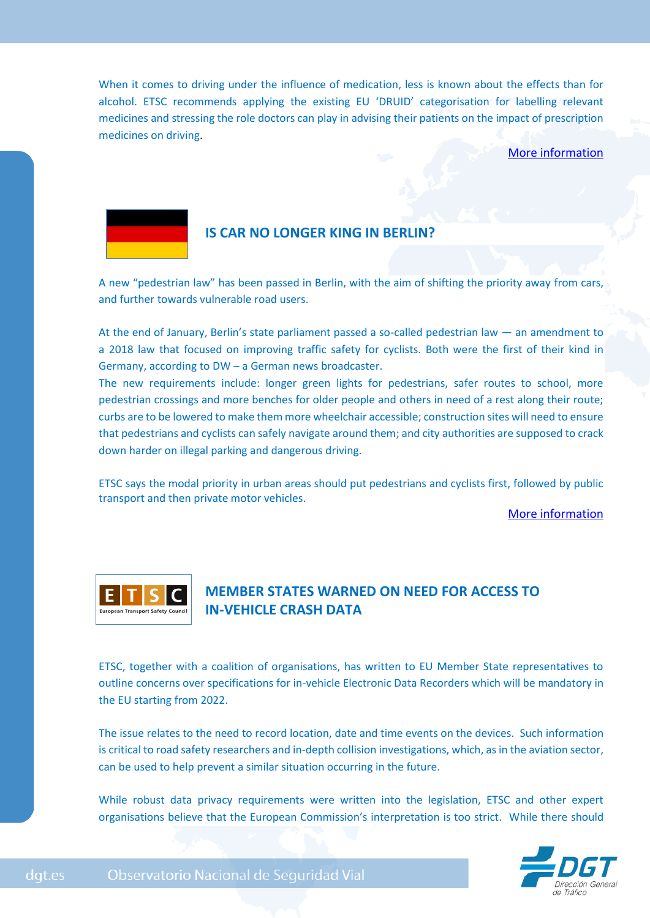When it comes to driving under the influence of medication, less is known about the effects than for alcohol. ETSC recommends applying the existing EU 'DRUID' categorisation for labelling relevant medicines and stressing the role doctors can play in advising their patients on the impact of prescription medicines on driving.

#### [More information](https://etsc.eu/overhaul-of-eu-rules-on-driver-medical-fitness-needed/)



## **IS CAR NO LONGER KING IN BERLIN?**

A new "pedestrian law" has been passed in Berlin, with the aim of shifting the priority away from cars, and further towards vulnerable road users.

At the end of January, Berlin's state parliament passed a so-called pedestrian law — an amendment to a 2018 law that focused on improving traffic safety for cyclists. Both were the first of their kind in Germany, according to DW – a German news broadcaster.

The new requirements include: longer green lights for pedestrians, safer routes to school, more pedestrian crossings and more benches for older people and others in need of a rest along their route; curbs are to be lowered to make them more wheelchair accessible; construction sites will need to ensure that pedestrians and cyclists can safely navigate around them; and city authorities are supposed to crack down harder on illegal parking and dangerous driving.

ETSC says the modal priority in urban areas should put pedestrians and cyclists first, followed by public transport and then private motor vehicles.

[More information](https://etsc.eu/is-car-no-longer-king-in-berlin/)



# **MEMBER STATES WARNED ON NEED FOR ACCESS TO IN-VEHICLE CRASH DATA**

ETSC, together with a coalition of organisations, has written to EU Member State representatives to outline concerns over specifications for in-vehicle Electronic Data Recorders which will be mandatory in the EU starting from 2022.

The issue relates to the need to record location, date and time events on the devices. Such information is critical to road safety researchers and in-depth collision investigations, which, as in the aviation sector, can be used to help prevent a similar situation occurring in the future.

While robust data privacy requirements were written into the legislation, ETSC and other expert organisations believe that the European Commission's interpretation is too strict. While there should

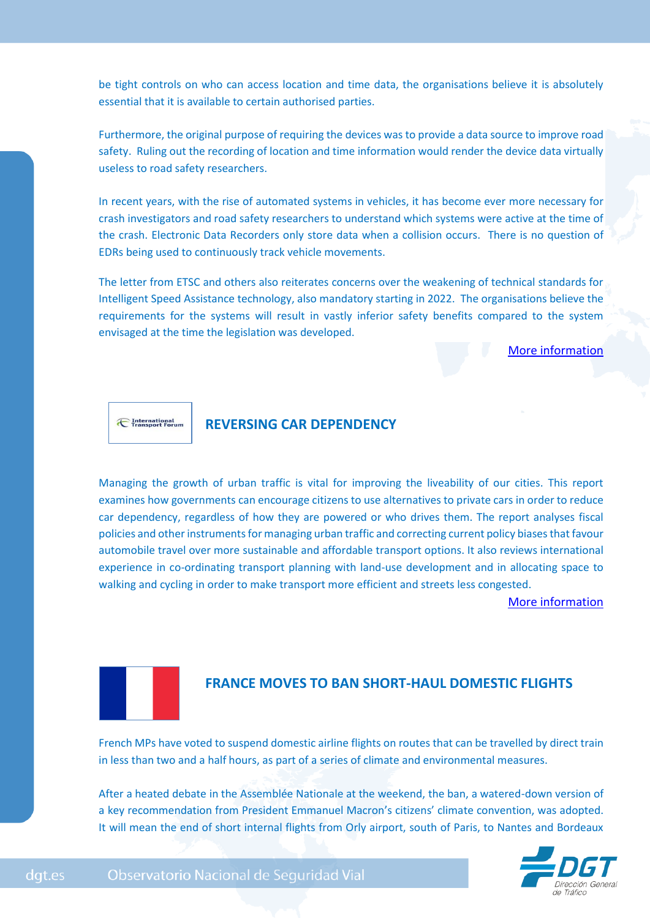be tight controls on who can access location and time data, the organisations believe it is absolutely essential that it is available to certain authorised parties.

Furthermore, the original purpose of requiring the devices was to provide a data source to improve road safety. Ruling out the recording of location and time information would render the device data virtually useless to road safety researchers.

In recent years, with the rise of automated systems in vehicles, it has become ever more necessary for crash investigators and road safety researchers to understand which systems were active at the time of the crash. Electronic Data Recorders only store data when a collision occurs. There is no question of EDRs being used to continuously track vehicle movements.

The letter from ETSC and others also reiterates concerns over the weakening of technical standards for Intelligent Speed Assistance technology, also mandatory starting in 2022. The organisations believe the requirements for the systems will result in vastly inferior safety benefits compared to the system envisaged at the time the legislation was developed.

[More information](https://etsc.eu/member-states-warned-on-need-for-access-to-in-vehicle-crash-data/)

**E** International

# **REVERSING CAR DEPENDENCY**

Managing the growth of urban traffic is vital for improving the liveability of our cities. This report examines how governments can encourage citizens to use alternatives to private cars in order to reduce car dependency, regardless of how they are powered or who drives them. The report analyses fiscal policies and other instruments for managing urban traffic and correcting current policy biases that favour automobile travel over more sustainable and affordable transport options. It also reviews international experience in co-ordinating transport planning with land-use development and in allocating space to walking and cycling in order to make transport more efficient and streets less congested.

[More information](https://www.itf-oecd.org/reversing-car-dependency)



## **FRANCE MOVES TO BAN SHORT-HAUL DOMESTIC FLIGHTS**

French MPs have voted to suspend domestic airline flights on routes that can be travelled by direct train in less than two and a half hours, as part of a series of climate and environmental measures.

After a heated debate in the Assemblée Nationale at the weekend, the ban, a watered-down version of a key recommendation from President Emmanuel Macron's citizens' climate convention, was adopted. It will mean the end of short internal flights from Orly airport, south of Paris, to Nantes and Bordeaux

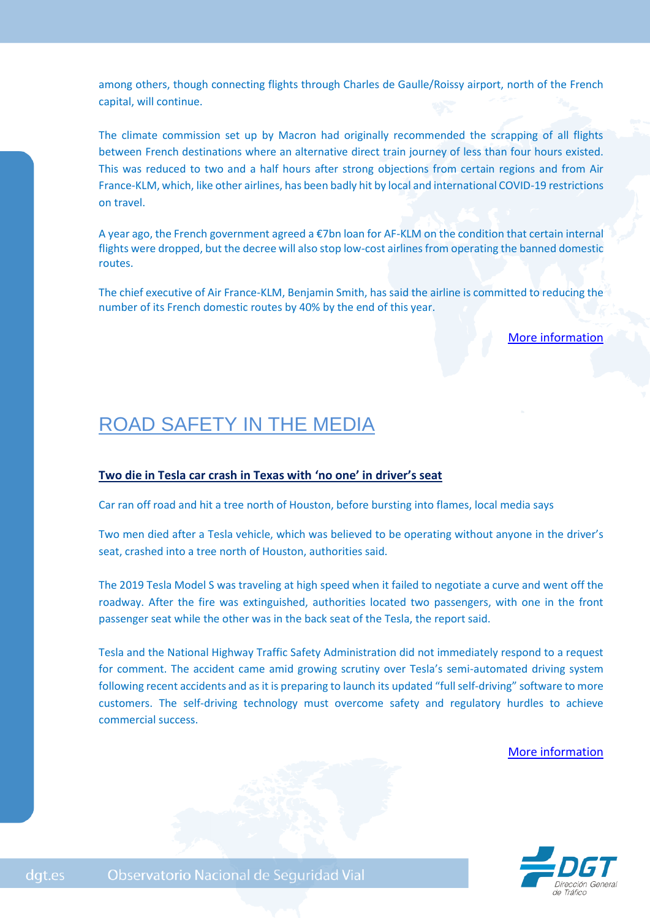among others, though connecting flights through Charles de Gaulle/Roissy airport, north of the French capital, will continue.

The climate commission set up by Macron had originally recommended the scrapping of all flights between French destinations where an alternative direct train journey of less than four hours existed. This was reduced to two and a half hours after strong objections from certain regions and from Air France-KLM, which, like other airlines, has been badly hit by local and international COVID-19 restrictions on travel.

A year ago, the French government agreed a €7bn loan for AF-KLM on the condition that certain internal flights were dropped, but the decree will also stop low-cost airlines from operating the banned domestic routes.

The chief executive of Air France-KLM, Benjamin Smith, has said the airline is committed to reducing the number of its French domestic routes by 40% by the end of this year.

[More information](https://www.euractiv.com/section/aviation/news/france-to-ban-some-domestic-flights-where-train-available/)

# ROAD SAFETY IN THE MEDIA

#### **Two die in Tesla car crash in Texas with 'no one' in driver's seat**

Car ran off road and hit a tree north of Houston, before bursting into flames, local media says

Two men died after a Tesla vehicle, which was believed to be operating without anyone in the driver's seat, crashed into a tree north of Houston, authorities said.

The 2019 Tesla Model S was traveling at high speed when it failed to negotiate a curve and went off the roadway. After the fire was extinguished, authorities located two passengers, with one in the front passenger seat while the other was in the back seat of the Tesla, the report said.

Tesla and the National Highway Traffic Safety Administration did not immediately respond to a request for comment. The accident came amid growing scrutiny over Tesla's semi-automated driving system following recent accidents and as it is preparing to launch its updated "full self-driving" software to more customers. The self-driving technology must overcome safety and regulatory hurdles to achieve commercial success.

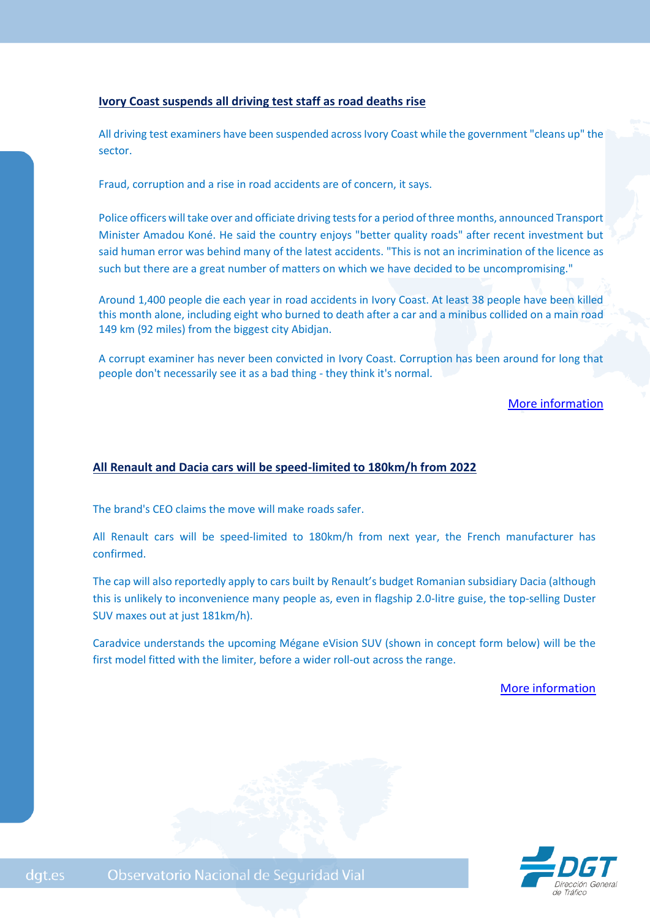#### **Ivory Coast suspends all driving test staff as road deaths rise**

All driving test examiners have been suspended across Ivory Coast while the government "cleans up" the sector.

Fraud, corruption and a rise in road accidents are of concern, it says.

Police officers will take over and officiate driving tests for a period of three months, announced Transport Minister Amadou Koné. He said the country enjoys "better quality roads" after recent investment but said human error was behind many of the latest accidents. "This is not an incrimination of the licence as such but there are a great number of matters on which we have decided to be uncompromising."

Around 1,400 people die each year in road accidents in Ivory Coast. At least 38 people have been killed this month alone, including eight who burned to death after a car and a minibus collided on a main road 149 km (92 miles) from the biggest city Abidjan.

A corrupt examiner has never been convicted in Ivory Coast. Corruption has been around for long that people don't necessarily see it as a bad thing - they think it's normal.

[More information](https://www.bbc.com/news/world-africa-56888420)

## **[All Renault and Dacia cars will be speed-limited to 180km/h from 2022](https://www.caradvice.com.au/947875/all-renault-and-dacia-cars-will-be-speed-limited-to-180km-h-from-2022/)**

The brand's CEO claims the move will make roads safer.

All Renault cars will be speed-limited to 180km/h from next year, the French manufacturer has confirmed.

The cap will also reportedly apply to cars built by Renault's budget Romanian subsidiary Dacia (although this is unlikely to inconvenience many people as, even in flagship 2.0-litre guise, the top-selling Duster SUV maxes out at just 181km/h).

Caradvice understands the upcoming Mégane eVision SUV (shown in concept form below) will be the first model fitted with the limiter, before a wider roll-out across the range.